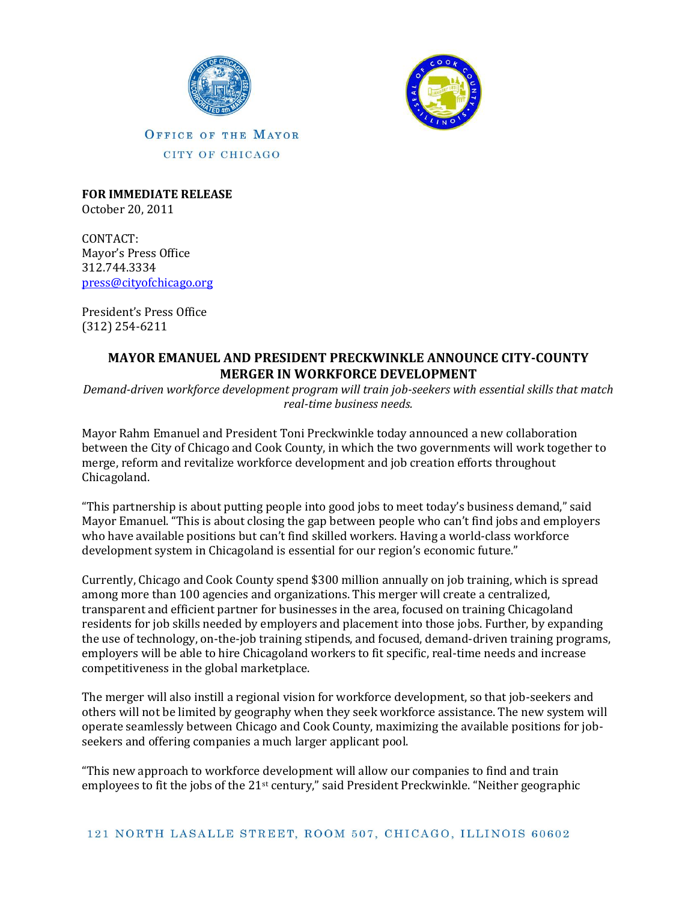



**FOR IMMEDIATE RELEASE** October 20, 2011

CONTACT: Mayor's Press Office 312.744.3334 [press@cityofchicago.org](mailto:press@cityofchicago.org)

President's Press Office [\(312\) 254-6211](tel:%28312%29%20254-6211)

## **MAYOR EMANUEL AND PRESIDENT PRECKWINKLE ANNOUNCE CITY-COUNTY MERGER IN WORKFORCE DEVELOPMENT**

*Demand-driven workforce development program will train job-seekers with essential skills that match real-time business needs.*

Mayor Rahm Emanuel and President Toni Preckwinkle today announced a new collaboration between the City of Chicago and Cook County, in which the two governments will work together to merge, reform and revitalize workforce development and job creation efforts throughout Chicagoland.

"This partnership is about putting people into good jobs to meet today's business demand," said Mayor Emanuel. "This is about closing the gap between people who can't find jobs and employers who have available positions but can't find skilled workers. Having a world-class workforce development system in Chicagoland is essential for our region's economic future."

Currently, Chicago and Cook County spend \$300 million annually on job training, which is spread among more than 100 agencies and organizations. This merger will create a centralized, transparent and efficient partner for businesses in the area, focused on training Chicagoland residents for job skills needed by employers and placement into those jobs. Further, by expanding the use of technology, on-the-job training stipends, and focused, demand-driven training programs, employers will be able to hire Chicagoland workers to fit specific, real-time needs and increase competitiveness in the global marketplace.

The merger will also instill a regional vision for workforce development, so that job-seekers and others will not be limited by geography when they seek workforce assistance. The new system will operate seamlessly between Chicago and Cook County, maximizing the available positions for jobseekers and offering companies a much larger applicant pool.

"This new approach to workforce development will allow our companies to find and train employees to fit the jobs of the 21st century," said President Preckwinkle. "Neither geographic